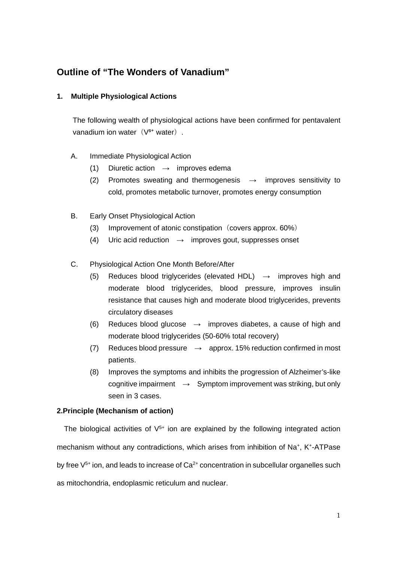# **Outline of "The Wonders of Vanadium"**

# **1. Multiple Physiological Actions**

The following wealth of physiological actions have been confirmed for pentavalent vanadium ion water $(V<sup>5+</sup>$  water).

- A. Immediate Physiological Action
	- (1) Diuretic action  $\rightarrow$  improves edema
	- (2) Promotes sweating and thermogenesis  $\rightarrow$  improves sensitivity to cold, promotes metabolic turnover, promotes energy consumption
- B. Early Onset Physiological Action
	- (3) Improvement of atonic constipation (covers approx.  $60\%)$
	- (4) Uric acid reduction  $\rightarrow$  improves gout, suppresses onset
- C. Physiological Action One Month Before/After
	- (5) Reduces blood triglycerides (elevated HDL)  $\rightarrow$  improves high and moderate blood triglycerides, blood pressure, improves insulin resistance that causes high and moderate blood triglycerides, prevents circulatory diseases
	- (6) Reduces blood glucose  $\rightarrow$  improves diabetes, a cause of high and moderate blood triglycerides (50-60% total recovery)
	- (7) Reduces blood pressure  $\rightarrow$  approx. 15% reduction confirmed in most patients.
	- (8) Improves the symptoms and inhibits the progression of Alzheimer's-like cognitive impairment  $\rightarrow$  Symptom improvement was striking, but only seen in 3 cases.

# **2.Principle (Mechanism of action)**

The biological activities of  $V^{5+}$  ion are explained by the following integrated action mechanism without any contradictions, which arises from inhibition of Na+, K+-ATPase by free  $V^{5+}$  ion, and leads to increase of  $Ca^{2+}$  concentration in subcellular organelles such as mitochondria, endoplasmic reticulum and nuclear.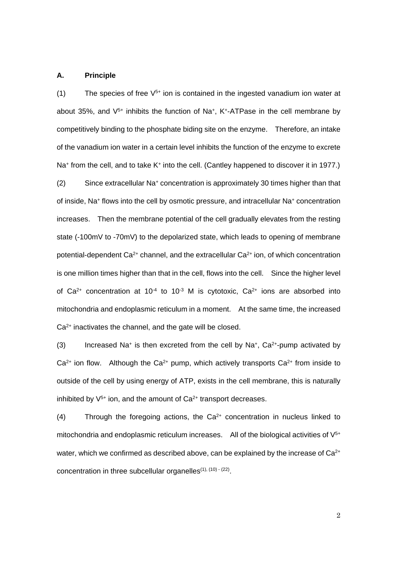#### **A. Principle**

(1) The species of free  $V^{5+}$  ion is contained in the ingested vanadium ion water at about 35%, and  $V^{5+}$  inhibits the function of Na<sup>+</sup>, K<sup>+</sup>-ATPase in the cell membrane by competitively binding to the phosphate biding site on the enzyme. Therefore, an intake of the vanadium ion water in a certain level inhibits the function of the enzyme to excrete Na<sup>+</sup> from the cell, and to take K<sup>+</sup> into the cell. (Cantley happened to discover it in 1977.) (2) Since extracellular Na<sup>+</sup> concentration is approximately 30 times higher than that of inside, Na<sup>+</sup> flows into the cell by osmotic pressure, and intracellular Na<sup>+</sup> concentration increases. Then the membrane potential of the cell gradually elevates from the resting state (-100mV to -70mV) to the depolarized state, which leads to opening of membrane potential-dependent  $Ca^{2+}$  channel, and the extracellular  $Ca^{2+}$  ion, of which concentration is one million times higher than that in the cell, flows into the cell. Since the higher level of  $Ca^{2+}$  concentration at 10<sup>-4</sup> to 10<sup>-3</sup> M is cytotoxic,  $Ca^{2+}$  ions are absorbed into mitochondria and endoplasmic reticulum in a moment. At the same time, the increased  $Ca<sup>2+</sup>$  inactivates the channel, and the gate will be closed.

(3) Increased Na<sup>+</sup> is then excreted from the cell by Na<sup>+</sup>, Ca<sup>2+</sup>-pump activated by  $Ca<sup>2+</sup>$  ion flow. Although the  $Ca<sup>2+</sup>$  pump, which actively transports  $Ca<sup>2+</sup>$  from inside to outside of the cell by using energy of ATP, exists in the cell membrane, this is naturally inhibited by  $V^{5+}$  ion, and the amount of  $Ca^{2+}$  transport decreases.

 $(4)$  Through the foregoing actions, the Ca<sup>2+</sup> concentration in nucleus linked to mitochondria and endoplasmic reticulum increases. All of the biological activities of  $V<sup>5+</sup>$ water, which we confirmed as described above, can be explained by the increase of Ca<sup>2+</sup> concentration in three subcellular organelles $(1)$ ,  $(10) - (22)$ .

2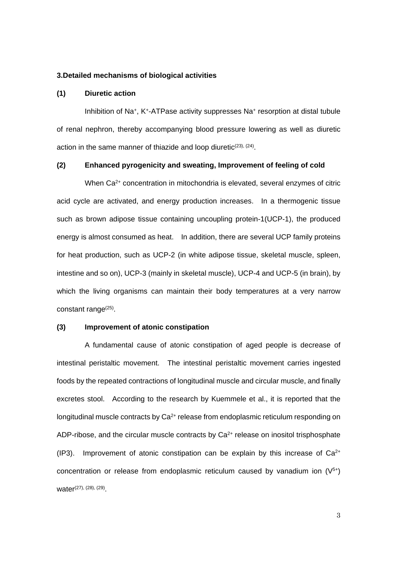#### **3.Detailed mechanisms of biological activities**

#### **(1) Diuretic action**

Inhibition of Na<sup>+</sup>, K<sup>+</sup>-ATPase activity suppresses Na<sup>+</sup> resorption at distal tubule of renal nephron, thereby accompanying blood pressure lowering as well as diuretic action in the same manner of thiazide and loop diuretic<sup>(23), (24)</sup>.

## **(2) Enhanced pyrogenicity and sweating, Improvement of feeling of cold**

When Ca<sup>2+</sup> concentration in mitochondria is elevated, several enzymes of citric acid cycle are activated, and energy production increases. In a thermogenic tissue such as brown adipose tissue containing uncoupling protein-1(UCP-1), the produced energy is almost consumed as heat. In addition, there are several UCP family proteins for heat production, such as UCP-2 (in white adipose tissue, skeletal muscle, spleen, intestine and so on), UCP-3 (mainly in skeletal muscle), UCP-4 and UCP-5 (in brain), by which the living organisms can maintain their body temperatures at a very narrow constant range<sup>(25)</sup>.

#### **(3) Improvement of atonic constipation**

 A fundamental cause of atonic constipation of aged people is decrease of intestinal peristaltic movement. The intestinal peristaltic movement carries ingested foods by the repeated contractions of longitudinal muscle and circular muscle, and finally excretes stool. According to the research by Kuemmele et al., it is reported that the longitudinal muscle contracts by  $Ca^{2+}$  release from endoplasmic reticulum responding on ADP-ribose, and the circular muscle contracts by  $Ca<sup>2+</sup>$  release on inositol trisphosphate  $(IP3)$ . Improvement of atonic constipation can be explain by this increase of  $Ca<sup>2+</sup>$ concentration or release from endoplasmic reticulum caused by vanadium ion  $(V^{5+})$ water<sup>(27), (28), (29)</sup>.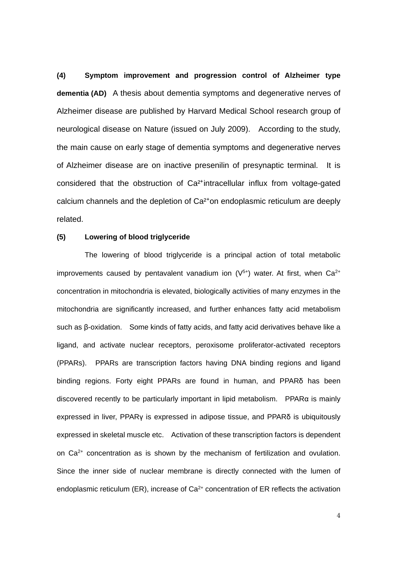**(4) Symptom improvement and progression control of Alzheimer type dementia (AD)** A thesis about dementia symptoms and degenerative nerves of Alzheimer disease are published by Harvard Medical School research group of neurological disease on Nature (issued on July 2009). According to the study, the main cause on early stage of dementia symptoms and degenerative nerves of Alzheimer disease are on inactive presenilin of presynaptic terminal. It is considered that the obstruction of Ca<sup>2+</sup>intracellular influx from voltage-gated calcium channels and the depletion of Ca<sup>2+</sup>on endoplasmic reticulum are deeply related.

## **(5) Lowering of blood triglyceride**

 The lowering of blood triglyceride is a principal action of total metabolic improvements caused by pentavalent vanadium ion  $(V^{5+})$  water. At first, when Ca<sup>2+</sup> concentration in mitochondria is elevated, biologically activities of many enzymes in the mitochondria are significantly increased, and further enhances fatty acid metabolism such as β-oxidation. Some kinds of fatty acids, and fatty acid derivatives behave like a ligand, and activate nuclear receptors, peroxisome proliferator-activated receptors (PPARs). PPARs are transcription factors having DNA binding regions and ligand binding regions. Forty eight PPARs are found in human, and PPARδ has been discovered recently to be particularly important in lipid metabolism. PPARα is mainly expressed in liver, PPARγ is expressed in adipose tissue, and PPARδ is ubiquitously expressed in skeletal muscle etc. Activation of these transcription factors is dependent on Ca2+ concentration as is shown by the mechanism of fertilization and ovulation. Since the inner side of nuclear membrane is directly connected with the lumen of endoplasmic reticulum (ER), increase of  $Ca<sup>2+</sup>$  concentration of ER reflects the activation

4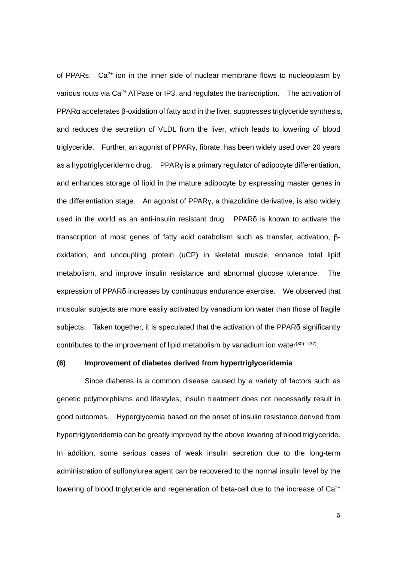of PPARs.  $Ca^{2+}$  ion in the inner side of nuclear membrane flows to nucleoplasm by various routs via Ca<sup>2+</sup> ATPase or IP3, and regulates the transcription. The activation of PPARα accelerates β-oxidation of fatty acid in the liver, suppresses triglyceride synthesis, and reduces the secretion of VLDL from the liver, which leads to lowering of blood triglyceride. Further, an agonist of PPARγ, fibrate, has been widely used over 20 years as a hypotriglyceridemic drug. PPARγ is a primary regulator of adipocyte differentiation, and enhances storage of lipid in the mature adipocyte by expressing master genes in the differentiation stage. An agonist of PPARγ, a thiazolidine derivative, is also widely used in the world as an anti-insulin resistant drug. PPARδ is known to activate the transcription of most genes of fatty acid catabolism such as transfer, activation, βoxidation, and uncoupling protein (uCP) in skeletal muscle, enhance total lipid metabolism, and improve insulin resistance and abnormal glucose tolerance. The expression of PPARδ increases by continuous endurance exercise. We observed that muscular subjects are more easily activated by vanadium ion water than those of fragile subjects. Taken together, it is speculated that the activation of the PPARδ significantly contributes to the improvement of lipid metabolism by vanadium ion water $(30)$   $(37)$ .

## **(6) Improvement of diabetes derived from hypertriglyceridemia**

 Since diabetes is a common disease caused by a variety of factors such as genetic polymorphisms and lifestyles, insulin treatment does not necessarily result in good outcomes. Hyperglycemia based on the onset of insulin resistance derived from hypertriglyceridemia can be greatly improved by the above lowering of blood triglyceride. In addition, some serious cases of weak insulin secretion due to the long-term administration of sulfonylurea agent can be recovered to the normal insulin level by the lowering of blood triglyceride and regeneration of beta-cell due to the increase of Ca<sup>2+</sup>

5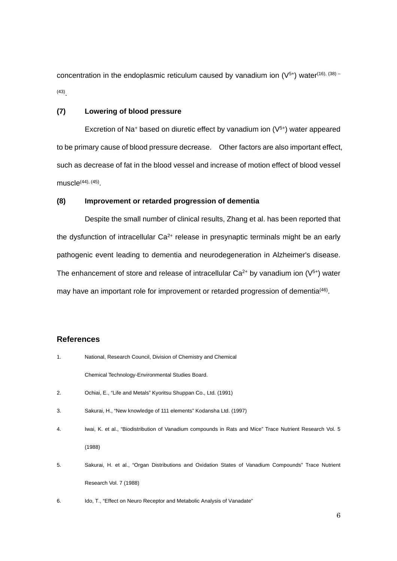concentration in the endoplasmic reticulum caused by vanadium ion  $(V^{5+})$  water<sup>(16), (38) -</sup> (43) .

## **(7) Lowering of blood pressure**

Excretion of Na<sup>+</sup> based on diuretic effect by vanadium ion  $(V<sup>5+</sup>)$  water appeared to be primary cause of blood pressure decrease. Other factors are also important effect, such as decrease of fat in the blood vessel and increase of motion effect of blood vessel muscle $^{(44), (45)}$ .

# **(8) Improvement or retarded progression of dementia**

Despite the small number of clinical results, Zhang et al. has been reported that the dysfunction of intracellular  $Ca<sup>2+</sup>$  release in presynaptic terminals might be an early pathogenic event leading to dementia and neurodegeneration in Alzheimer's disease. The enhancement of store and release of intracellular  $Ca^{2+}$  by vanadium ion ( $V^{5+}$ ) water may have an important role for improvement or retarded progression of dementia<sup>(46)</sup>.

# **References**

| 1. | National, Research Council, Division of Chemistry and Chemical                                           |
|----|----------------------------------------------------------------------------------------------------------|
|    | Chemical Technology-Environmental Studies Board.                                                         |
| 2. | Ochiai, E., "Life and Metals" Kyoritsu Shuppan Co., Ltd. (1991)                                          |
| 3. | Sakurai, H., "New knowledge of 111 elements" Kodansha Ltd. (1997)                                        |
| 4. | Iwai, K. et al., "Biodistribution of Vanadium compounds in Rats and Mice" Trace Nutrient Research Vol. 5 |
|    | (1988)                                                                                                   |
| 5. | Sakurai, H. et al., "Organ Distributions and Oxidation States of Vanadium Compounds" Trace Nutrient      |
|    | Research Vol. 7 (1988)                                                                                   |
|    |                                                                                                          |

6. Ido, T., "Effect on Neuro Receptor and Metabolic Analysis of Vanadate"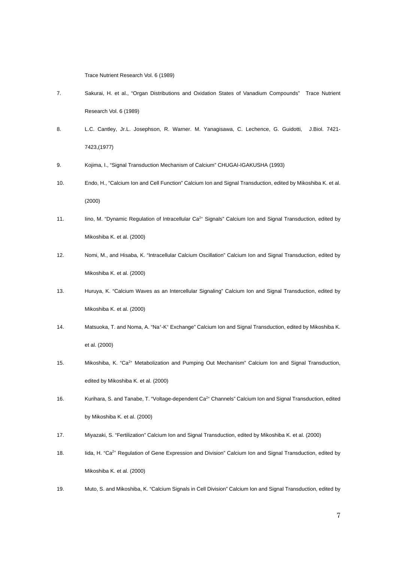Trace Nutrient Research Vol. 6 (1989)

- 7. Sakurai, H. et al., "Organ Distributions and Oxidation States of Vanadium Compounds" Trace Nutrient Research Vol. 6 (1989)
- 8. L.C. Cantley, Jr.L. Josephson, R. Warner. M. Yanagisawa, C. Lechence, G. Guidotti, J.Biol. 7421- 7423,(1977)
- 9. Kojima, I., "Signal Transduction Mechanism of Calcium" CHUGAI-IGAKUSHA (1993)
- 10. Endo, H., "Calcium Ion and Cell Function" Calcium Ion and Signal Transduction, edited by Mikoshiba K. et al. (2000)
- 11. Iino, M. "Dynamic Regulation of Intracellular Ca<sup>2+</sup> Signals" Calcium Ion and Signal Transduction, edited by Mikoshiba K. et al. (2000)
- 12. Nomi, M., and Hisaba, K. "Intracellular Calcium Oscillation" Calcium Ion and Signal Transduction, edited by Mikoshiba K. et al. (2000)
- 13. Huruya, K. "Calcium Waves as an Intercellular Signaling" Calcium Ion and Signal Transduction, edited by Mikoshiba K. et al. (2000)
- 14. Matsuoka, T. and Noma, A. "Na<sup>+</sup>-K<sup>+</sup> Exchange" Calcium Ion and Signal Transduction, edited by Mikoshiba K. et al. (2000)
- 15. Mikoshiba, K. "Ca2+ Metabolization and Pumping Out Mechanism" Calcium Ion and Signal Transduction, edited by Mikoshiba K. et al. (2000)
- 16. Kurihara, S. and Tanabe, T. "Voltage-dependent Ca<sup>2+</sup> Channels" Calcium Ion and Signal Transduction, edited by Mikoshiba K. et al. (2000)
- 17. Miyazaki, S. "Fertilization" Calcium Ion and Signal Transduction, edited by Mikoshiba K. et al. (2000)
- 18. Iida, H. "Ca<sup>2+</sup> Regulation of Gene Expression and Division" Calcium Ion and Signal Transduction, edited by Mikoshiba K. et al. (2000)
- 19. Muto, S. and Mikoshiba, K. "Calcium Signals in Cell Division" Calcium Ion and Signal Transduction, edited by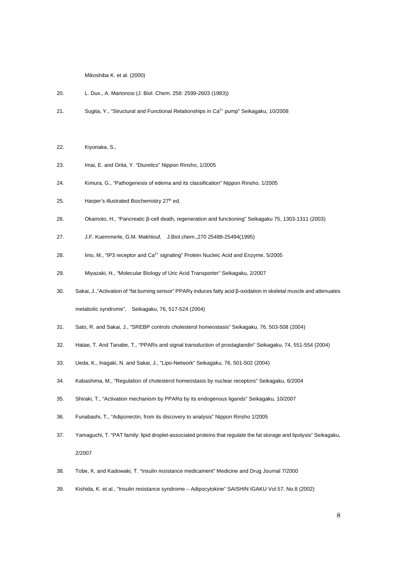Mikoshiba K. et al. (2000)

- 20. L. Dux., A. Martonosi (J. Biol. Chem. 258: 2599-2603 (1983))
- 21. Sugita, Y., "Structural and Functional Relationships in Ca<sup>2+</sup> pump" Seikagaku, 10/2008
- 22. Kiyonaka, S.,
- 23. Imai, E. and Orita, Y. "Diuretics" Nippon Rinsho, 1/2005
- 24. Kimura, G., "Pathogenesis of edema and its classification" Nippon Rinsho, 1/2005
- 25. Harper's illustrated Biochemistry 27<sup>th</sup> ed.
- 26. Okamoto, H., "Pancreatic β-cell death, regeneration and functioning" Seikagaku 75, 1303-1311 (2003)
- 27. J.F. Kuemmerle, G.M. Makhlouf, J.Biol.chem.,270 25488-25494(1995)
- 28. Iino, M., "IP3 receptor and  $Ca<sup>2+</sup>$  signaling" Protein Nucleic Acid and Enzyme,  $5/2005$
- 29. Miyazaki, H., "Molecular Biology of Uric Acid Transporter" Seikagaku, 2/2007
- 30. Sakai, J.,"Activation of "fat burning sensor" PPARγ induces fatty acid β-oxidation in skeletal muscle and attenuates metabolic syndrome", Seikagaku, 76, 517-524 (2004)
- 31. Sato, R. and Sakai, J., "SREBP controls cholesterol homeostasis" Seikagaku, 76, 503-508 (2004)
- 32. Hatae, T. And Tanabe, T., "PPARs and signal transduction of prostaglandin" Seikagaku, 74, 551-554 (2004)
- 33. Ueda, K., Inagaki, N. and Sakai, J., "Lipo-Network" Seikagaku, 76, 501-502 (2004)
- 34. Kabashima, M., "Regulation of cholesterol homeostasis by nuclear receptors" Seikagaku, 6/2004
- 35. Shiraki, T., "Activation mechanism by PPARα by its endogenous ligands" Seikagaku, 10/2007
- 36. Funabashi, T., "Adiponectin, from its discovery to analysis" Nippon Rinsho 1/2005
- 37. Yamaguchi, T. "PAT family: lipid droplet-associated proteins that regulate the fat storage and lipolysis" Seikagaku, 2/2007
- 38. Tobe, K. and Kadowaki, T. "Insulin resistance medicament" Medicine and Drug Journal 7/2000
- 39. Kishida, K. et al., "Insulin resistance syndrome Adipocytokine" SAISHIN IGAKU Vol.57, No.8 (2002)